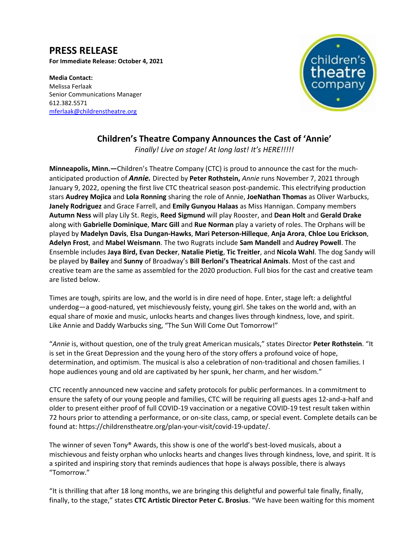# **PRESS RELEASE**

**For Immediate Release: October 4, 2021**

**Media Contact:**  Melissa Ferlaak Senior Communications Manager 612.382.5571 [mferlaak@childrenstheatre.org](mailto:mferlaak@childrenstheatre.org)



## **Children's Theatre Company Announces the Cast of 'Annie'**

*Finally! Live on stage! At long last! It's HERE!!!!!*

**Minneapolis, Minn.—**Children's Theatre Company (CTC) is proud to announce the cast for the muchanticipated production of *Annie.* Directed by **Peter Rothstein,** *Annie* runs November 7, 2021 through January 9, 2022, opening the first live CTC theatrical season post-pandemic. This electrifying production stars **Audrey Mojica** and **Lola Ronning** sharing the role of Annie, **JoeNathan Thomas** as Oliver Warbucks, **Janely Rodriguez** and Grace Farrell, and **Emily Gunyou Halaas** as Miss Hannigan. Company members **Autumn Ness** will play Lily St. Regis, **Reed Sigmund** will play Rooster, and **Dean Holt** and **Gerald Drake** along with **Gabrielle Dominique**, **Marc Gill** and **Rue Norman** play a variety of roles. The Orphans will be played by **Madelyn Davis**, **Elsa Dungan-Hawks**, **Mari Peterson-Hilleque**, **Anja Arora**, **Chloe Lou Erickson**, **Adelyn Frost**, and **Mabel Weismann**. The two Rugrats include **Sam Mandell** and **Audrey Powell**. The Ensemble includes **Jaya Bird, Evan Decker**, **Natalie Pietig**, **Tic Treitler**, and **Nicola Wahl**. The dog Sandy will be played by **Bailey** and **Sunny** of Broadway's **Bill Berloni's Theatrical Animals**. Most of the cast and creative team are the same as assembled for the 2020 production. Full bios for the cast and creative team are listed below.

Times are tough, spirits are low, and the world is in dire need of hope. Enter, stage left: a delightful underdog—a good-natured, yet mischievously feisty, young girl. She takes on the world and, with an equal share of moxie and music, unlocks hearts and changes lives through kindness, love, and spirit. Like Annie and Daddy Warbucks sing, "The Sun Will Come Out Tomorrow!"

"*Annie* is, without question, one of the truly great American musicals," states Director **Peter Rothstein**. "It is set in the Great Depression and the young hero of the story offers a profound voice of hope, determination, and optimism. The musical is also a celebration of non-traditional and chosen families. I hope audiences young and old are captivated by her spunk, her charm, and her wisdom."

CTC recently announced new vaccine and safety protocols for public performances. In a commitment to ensure the safety of our young people and families, CTC will be requiring all guests ages 12-and-a-half and older to present either proof of full COVID-19 vaccination or a negative COVID-19 test result taken within 72 hours prior to attending a performance, or on-site class, camp, or special event. Complete details can be found at: https://childrenstheatre.org/plan-your-visit/covid-19-update/.

The winner of seven Tony® Awards, this show is one of the world's best-loved musicals, about a mischievous and feisty orphan who unlocks hearts and changes lives through kindness, love, and spirit. It is a spirited and inspiring story that reminds audiences that hope is always possible, there is always "Tomorrow."

"It is thrilling that after 18 long months, we are bringing this delightful and powerful tale finally, finally, finally, to the stage," states **CTC Artistic Director Peter C. Brosius**. "We have been waiting for this moment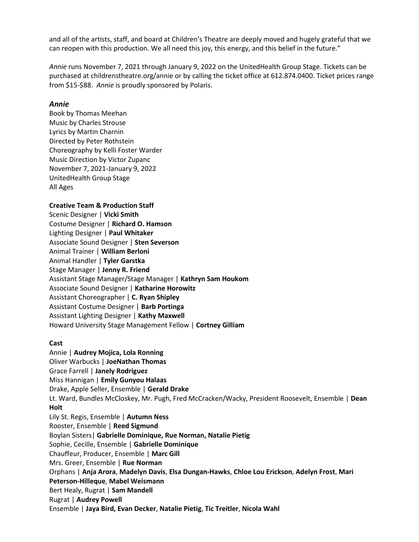**Media Contact:**  and all of the artists, staff, and board at Children's Theatre are deeply moved and hugely grateful that we can reopen with this production. We all need this joy, this energy, and this belief in the future."

Annie runs November 7, 2021 through January 9, 2022 on the UnitedHealth Group Stage. Tickets can be purchased at childrenstheatre.org/annie or by calling the ticket office at 612.874.0400. Ticket prices range from \$15-\$88. *Annie* is proudly sponsored by Polaris.

#### *Annie*

Book by Thomas Meehan Music by Charles Strouse Lyrics by Martin Charnin Directed by Peter Rothstein Choreography by Kelli Foster Warder Music Direction by Victor Zupanc November 7, 2021-January 9, 2022 UnitedHealth Group Stage All Ages

#### **Creative Team & Production Staff**

Scenic Designer | **Vicki Smith** Costume Designer | **Richard O. Hamson** Lighting Designer | **Paul Whitaker** Associate Sound Designer | **Sten Severson** Animal Trainer | **William Berloni** Animal Handler | **Tyler Garstka** Stage Manager | **Jenny R. Friend**  Assistant Stage Manager/Stage Manager | **Kathryn Sam Houkom** Associate Sound Designer | **Katharine Horowitz** Assistant Choreographer | **C. Ryan Shipley** Assistant Costume Designer | **Barb Portinga** Assistant Lighting Designer | **Kathy Maxwell** Howard University Stage Management Fellow | **Cortney Gilliam**

#### **Cast**

Annie | **Audrey Mojica, Lola Ronning** Oliver Warbucks | **JoeNathan Thomas** Grace Farrell | **Janely Rodriguez** Miss Hannigan | **Emily Gunyou Halaas** Drake, Apple Seller, Ensemble | **Gerald Drake** Lt. Ward, Bundles McCloskey, Mr. Pugh, Fred McCracken/Wacky, President Roosevelt, Ensemble | **Dean Holt** Lily St. Regis, Ensemble | **Autumn Ness**  Rooster, Ensemble | **Reed Sigmund** Boylan Sisters| **Gabrielle Dominique, Rue Norman, Natalie Pietig** Sophie, Cecille, Ensemble | **Gabrielle Dominique** Chauffeur, Producer, Ensemble | **Marc Gill** Mrs. Greer, Ensemble | **Rue Norman** Orphans | **Anja Arora**, **Madelyn Davis**, **Elsa Dungan-Hawks**, **Chloe Lou Erickson**, **Adelyn Frost**, **Mari Peterson-Hilleque**, **Mabel Weismann** Bert Healy, Rugrat | **Sam Mandell** Rugrat | **Audrey Powell** Ensemble | **Jaya Bird, Evan Decker**, **Natalie Pietig**, **Tic Treitler**, **Nicola Wahl**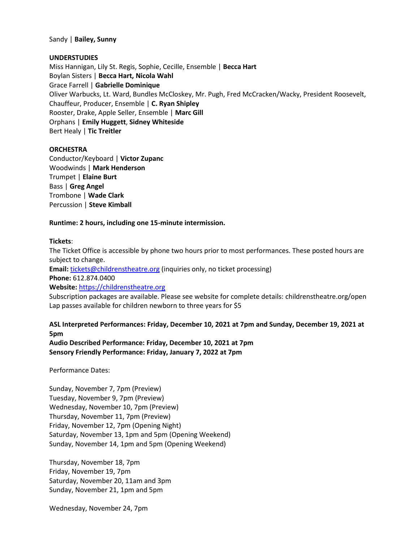#### Sandy | **Bailey, Sunny**

#### **UNDERSTUDIES**

Miss Hannigan, Lily St. Regis, Sophie, Cecille, Ensemble | **Becca Hart** Boylan Sisters | **Becca Hart, Nicola Wahl** Grace Farrell | **Gabrielle Dominique** Oliver Warbucks, Lt. Ward, Bundles McCloskey, Mr. Pugh, Fred McCracken/Wacky, President Roosevelt, Chauffeur, Producer, Ensemble | **C. Ryan Shipley** Rooster, Drake, Apple Seller, Ensemble | **Marc Gill** Orphans | **Emily Huggett**, **Sidney Whiteside** Bert Healy | **Tic Treitler**

#### **ORCHESTRA**

Conductor/Keyboard | **Victor Zupanc** Woodwinds | **Mark Henderson** Trumpet | **Elaine Burt** Bass | **Greg Angel** Trombone | **Wade Clark** Percussion | **Steve Kimball**

#### **Runtime: 2 hours, including one 15-minute intermission.**

#### **Tickets**:

The Ticket Office is accessible by phone two hours prior to most performances. These posted hours are subject to change.

**Email:** [tickets@childrenstheatre.org](mailto:tickets@childrenstheatre.org) (inquiries only, no ticket processing) **Phone:** 612.874.0400

**Website:** [https://childrenstheatre.org](https://childrenstheatre.org/)

Subscription packages are available. Please see website for complete details: childrenstheatre.org/open Lap passes available for children newborn to three years for \$5

## **ASL Interpreted Performances: Friday, December 10, 2021 at 7pm and Sunday, December 19, 2021 at 5pm**

**Audio Described Performance: Friday, December 10, 2021 at 7pm Sensory Friendly Performance: Friday, January 7, 2022 at 7pm**

Performance Dates:

Sunday, November 7, 7pm (Preview) Tuesday, November 9, 7pm (Preview) Wednesday, November 10, 7pm (Preview) Thursday, November 11, 7pm (Preview) Friday, November 12, 7pm (Opening Night) Saturday, November 13, 1pm and 5pm (Opening Weekend) Sunday, November 14, 1pm and 5pm (Opening Weekend)

Thursday, November 18, 7pm Friday, November 19, 7pm Saturday, November 20, 11am and 3pm Sunday, November 21, 1pm and 5pm

Wednesday, November 24, 7pm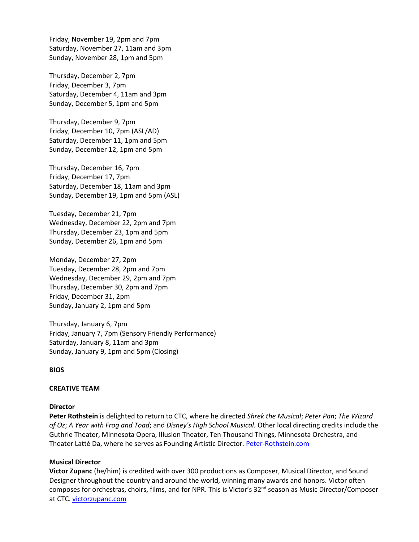Friday, November 19, 2pm and 7pm Saturday, November 27, 11am and 3pm Sunday, November 28, 1pm and 5pm

Thursday, December 2, 7pm Friday, December 3, 7pm Saturday, December 4, 11am and 3pm Sunday, December 5, 1pm and 5pm

Thursday, December 9, 7pm Friday, December 10, 7pm (ASL/AD) Saturday, December 11, 1pm and 5pm Sunday, December 12, 1pm and 5pm

Thursday, December 16, 7pm Friday, December 17, 7pm Saturday, December 18, 11am and 3pm Sunday, December 19, 1pm and 5pm (ASL)

Tuesday, December 21, 7pm Wednesday, December 22, 2pm and 7pm Thursday, December 23, 1pm and 5pm Sunday, December 26, 1pm and 5pm

Monday, December 27, 2pm Tuesday, December 28, 2pm and 7pm Wednesday, December 29, 2pm and 7pm Thursday, December 30, 2pm and 7pm Friday, December 31, 2pm Sunday, January 2, 1pm and 5pm

Thursday, January 6, 7pm Friday, January 7, 7pm (Sensory Friendly Performance) Saturday, January 8, 11am and 3pm Sunday, January 9, 1pm and 5pm (Closing)

**BIOS**

#### **CREATIVE TEAM**

## **Director**

**Peter Rothstein** is delighted to return to CTC, where he directed *Shrek the Musical*; *Peter Pan*; *The Wizard of Oz*; *A Year with Frog and Toad*; and *Disney's High School Musical.* Other local directing credits include the Guthrie Theater, Minnesota Opera, Illusion Theater, Ten Thousand Things, Minnesota Orchestra, and Theater Latté Da, where he serves as Founding Artistic Director. [Peter-Rothstein.com](https://www.peter-rothstein.com/)

## **Musical Director**

**Victor Zupanc** (he/him) is credited with over 300 productions as Composer, Musical Director, and Sound Designer throughout the country and around the world, winning many awards and honors. Victor often composes for orchestras, choirs, films, and for NPR. This is Victor's 32<sup>nd</sup> season as Music Director/Composer at CTC. [victorzupanc.com](http://victorzupanc.com/)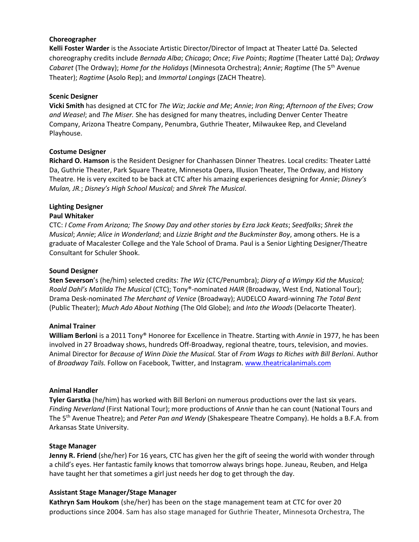#### **Choreographer**

**Kelli Foster Warder** is the Associate Artistic Director/Director of Impact at Theater Latté Da. Selected choreography credits include *Bernada Alba*; *Chicago*; *Once*; *Five Points*; *Ragtime* (Theater Latté Da); *Ordway* 612.872.5110 *Cabaret* (The Ordway); *Home for the Holidays* (Minnesota Orchestra); *Annie*; *Ragtime* (The 5th Avenue [mferlaak@childrenstheatre.org](mailto:mferlaak@childrenstheatre.org) Theater); *Ragtime* (Asolo Rep); and *Immortal Longings* (ZACH Theatre).

#### **Scenic Designer**

**Vicki Smith** has designed at CTC for *The Wiz*; *Jackie and Me*; *Annie*; *Iron Ring*; *Afternoon of the Elves*; *Crow and Weasel*; and *The Miser.* She has designed for many theatres, including Denver Center Theatre Company, Arizona Theatre Company, Penumbra, Guthrie Theater, Milwaukee Rep, and Cleveland Playhouse.

#### **Costume Designer**

**Richard O. Hamson** is the Resident Designer for Chanhassen Dinner Theatres. Local credits: Theater Latté Da, Guthrie Theater, Park Square Theatre, Minnesota Opera, Illusion Theater, The Ordway, and History Theatre. He is very excited to be back at CTC after his amazing experiences designing for *Annie*; *Disney's Mulan, JR.*; *Disney's High School Musical;* and *Shrek The Musical*.

#### **Lighting Designer Paul Whitaker**

CTC: *I Come From Arizona; The Snowy Day and other stories by Ezra Jack Keats*; *Seedfolks*; *Shrek the Musical*; *Annie*; *Alice in Wonderland*; and *Lizzie Bright and the Buckminster Boy*, among others. He is a graduate of Macalester College and the Yale School of Drama. Paul is a Senior Lighting Designer/Theatre Consultant for Schuler Shook.

#### **Sound Designer**

**Sten Severson**'s (he/him) selected credits: *The Wiz* (CTC/Penumbra); *Diary of a Wimpy Kid the Musical; Roald Dahl's Matilda The Musical* (CTC); Tony®-nominated *HAIR* (Broadway, West End, National Tour); Drama Desk-nominated *The Merchant of Venice* (Broadway); AUDELCO Award-winning *The Total Bent* (Public Theater); *Much Ado About Nothing* (The Old Globe); and *Into the Woods* (Delacorte Theater).

## **Animal Trainer**

**William Berloni** is a 2011 Tony® Honoree for Excellence in Theatre. Starting with *Annie* in 1977, he has been involved in 27 Broadway shows, hundreds Off-Broadway, regional theatre, tours, television, and movies. Animal Director for *Because of Winn Dixie the Musical.* Star of *From Wags to Riches with Bill Berloni*. Author of *Broadway Tails.* Follow on Facebook, Twitter, and Instagram. [www.theatricalanimals.com](http://www.theatricalanimals.com/)

#### **Animal Handler**

**Tyler Garstka** (he/him) has worked with Bill Berloni on numerous productions over the last six years. *Finding Neverland* (First National Tour); more productions of *Annie* than he can count (National Tours and The 5th Avenue Theatre); and *Peter Pan and Wendy* (Shakespeare Theatre Company). He holds a B.F.A. from Arkansas State University.

#### **Stage Manager**

**Jenny R. Friend** (she/her) For 16 years, CTC has given her the gift of seeing the world with wonder through a child's eyes. Her fantastic family knows that tomorrow always brings hope. Juneau, Reuben, and Helga have taught her that sometimes a girl just needs her dog to get through the day.

#### **Assistant Stage Manager/Stage Manager**

**Kathryn Sam Houkom** (she/her) has been on the stage management team at CTC for over 20 productions since 2004. Sam has also stage managed for Guthrie Theater, Minnesota Orchestra, The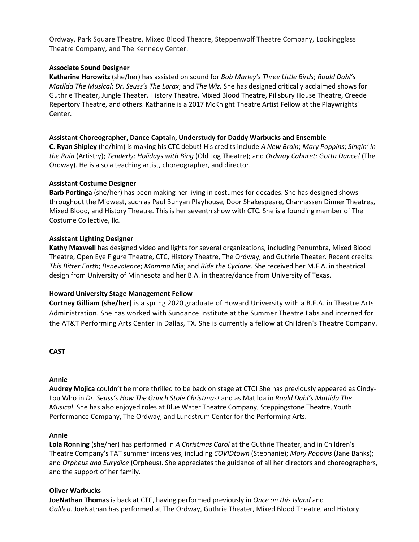**Media Contact:**  Ordway, Park Square Theatre, Mixed Blood Theatre, Steppenwolf Theatre Company, Lookingglass Theatre Company, and The Kennedy Center.

## **Associate Sound Designer**

Katharine Horowitz (she/her) has assisted on sound for *Bob Marley's Three Little Birds*; *Roald Dahl's Matilda The Musical*; *Dr. Seuss's The Lorax*; and *The Wiz.* She has designed critically acclaimed shows for Guthrie Theater, Jungle Theater, History Theatre, Mixed Blood Theatre, Pillsbury House Theatre, Creede Repertory Theatre, and others. Katharine is a 2017 McKnight Theatre Artist Fellow at the Playwrights' Center.

## **Assistant Choreographer, Dance Captain, Understudy for Daddy Warbucks and Ensemble**

**C. Ryan Shipley** (he/him) is making his CTC debut! His credits include *A New Brain*; *Mary Poppins*; *Singin' in the Rain* (Artistry); *Tenderly; Holidays with Bing* (Old Log Theatre); and *Ordway Cabaret: Gotta Dance!* (The Ordway). He is also a teaching artist, choreographer, and director.

## **Assistant Costume Designer**

**Barb Portinga** (she/her) has been making her living in costumes for decades. She has designed shows throughout the Midwest, such as Paul Bunyan Playhouse, Door Shakespeare, Chanhassen Dinner Theatres, Mixed Blood, and History Theatre. This is her seventh show with CTC. She is a founding member of The Costume Collective, llc.

## **Assistant Lighting Designer**

**Kathy Maxwell** has designed video and lights for several organizations, including Penumbra, Mixed Blood Theatre, Open Eye Figure Theatre, CTC, History Theatre, The Ordway, and Guthrie Theater. Recent credits: *This Bitter Earth*; *Benevolence*; *Mamma* Mia; and *Ride the Cyclone*. She received her M.F.A. in theatrical design from University of Minnesota and her B.A. in theatre/dance from University of Texas.

## **Howard University Stage Management Fellow**

**Cortney Gilliam (she/her)** is a spring 2020 graduate of Howard University with a B.F.A. in Theatre Arts Administration. She has worked with Sundance Institute at the Summer Theatre Labs and interned for the AT&T Performing Arts Center in Dallas, TX. She is currently a fellow at Children's Theatre Company.

## **CAST**

## **Annie**

**Audrey Mojica** couldn't be more thrilled to be back on stage at CTC! She has previously appeared as Cindy-Lou Who in *Dr. Seuss's How The Grinch Stole Christmas!* and as Matilda in *Roald Dahl's Matilda The Musical*. She has also enjoyed roles at Blue Water Theatre Company, Steppingstone Theatre, Youth Performance Company, The Ordway, and Lundstrum Center for the Performing Arts.

## **Annie**

**Lola Ronning** (she/her) has performed in *A Christmas Carol* at the Guthrie Theater, and in Children's Theatre Company's TAT summer intensives, including *COVIDtown* (Stephanie); *Mary Poppins* (Jane Banks); and *Orpheus and Eurydice* (Orpheus). She appreciates the guidance of all her directors and choreographers, and the support of her family.

## **Oliver Warbucks**

**JoeNathan Thomas** is back at CTC, having performed previously in *Once on this Island* and *Galileo*. JoeNathan has performed at The Ordway, Guthrie Theater, Mixed Blood Theatre, and History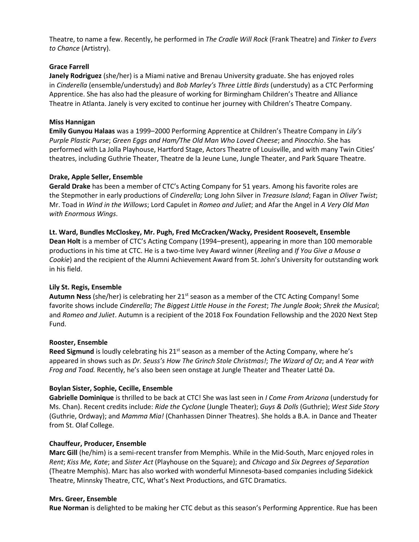**Media Contact:**  Theatre, to name a few. Recently, he performed in *The Cradle Will Rock* (Frank Theatre) and *Tinker to Evers to Chance* (Artistry).

## **Grace Farrell**

**Janely Rodriguez** (she/her) is a Miami native and Brenau University graduate. She has enjoyed roles in *Cinderella* (ensemble/understudy) and *Bob Marley's Three Little Birds* (understudy) as a CTC Performing Apprentice. She has also had the pleasure of working for Birmingham Children's Theatre and Alliance Theatre in Atlanta. Janely is very excited to continue her journey with Children's Theatre Company.

## **Miss Hannigan**

**Emily Gunyou Halaas** was a 1999–2000 Performing Apprentice at Children's Theatre Company in *Lily's Purple Plastic Purse*; *Green Eggs and Ham/The Old Man Who Loved Cheese*; and *Pinocchio*. She has performed with La Jolla Playhouse, Hartford Stage, Actors Theatre of Louisville, and with many Twin Cities' theatres, including Guthrie Theater, Theatre de la Jeune Lune, Jungle Theater, and Park Square Theatre.

## **Drake, Apple Seller, Ensemble**

**Gerald Drake** has been a member of CTC's Acting Company for 51 years. Among his favorite roles are the Stepmother in early productions of *Cinderella;* Long John Silver in *Treasure Island*; Fagan in *Oliver Twist*; Mr. Toad in *Wind in the Willows*; Lord Capulet in *Romeo and Juliet*; and Afar the Angel in *A Very Old Man with Enormous Wings*.

**Lt. Ward, Bundles McCloskey, Mr. Pugh, Fred McCracken/Wacky, President Roosevelt, Ensemble Dean Holt** is a member of CTC's Acting Company (1994–present), appearing in more than 100 memorable productions in his time at CTC. He is a two-time Ivey Award winner (*Reeling* and *If You Give a Mouse a Cookie*) and the recipient of the Alumni Achievement Award from St. John's University for outstanding work in his field.

## **Lily St. Regis, Ensemble**

Autumn Ness (she/her) is celebrating her 21<sup>st</sup> season as a member of the CTC Acting Company! Some favorite shows include *Cinderella*; *The Biggest Little House in the Forest*; *The Jungle Book*; *Shrek the Musical*; and *Romeo and Juliet*. Autumn is a recipient of the 2018 Fox Foundation Fellowship and the 2020 Next Step Fund.

## **Rooster, Ensemble**

**Reed Sigmund** is loudly celebrating his 21<sup>st</sup> season as a member of the Acting Company, where he's appeared in shows such as *Dr. Seuss's How The Grinch Stole Christmas!*; *The Wizard of Oz*; and *A Year with Frog and Toad.* Recently, he's also been seen onstage at Jungle Theater and Theater Latté Da.

## **Boylan Sister, Sophie, Cecille, Ensemble**

**Gabrielle Dominique** is thrilled to be back at CTC! She was last seen in *I Come From Arizona* (understudy for Ms. Chan). Recent credits include: *Ride the Cyclone* (Jungle Theater); *Guys & Dolls* (Guthrie); *West Side Story*  (Guthrie, Ordway); and *Mamma Mia!* (Chanhassen Dinner Theatres). She holds a B.A. in Dance and Theater from St. Olaf College.

## **Chauffeur, Producer, Ensemble**

**Marc Gill** (he/him) is a semi-recent transfer from Memphis. While in the Mid-South, Marc enjoyed roles in *Rent*; *Kiss Me, Kate*; and *Sister Act* (Playhouse on the Square); and *Chicago* and *Six Degrees of Separation* (Theatre Memphis). Marc has also worked with wonderful Minnesota-based companies including Sidekick Theatre, Minnsky Theatre, CTC, What's Next Productions, and GTC Dramatics.

## **Mrs. Greer, Ensemble**

**Rue Norman** is delighted to be making her CTC debut as this season's Performing Apprentice. Rue has been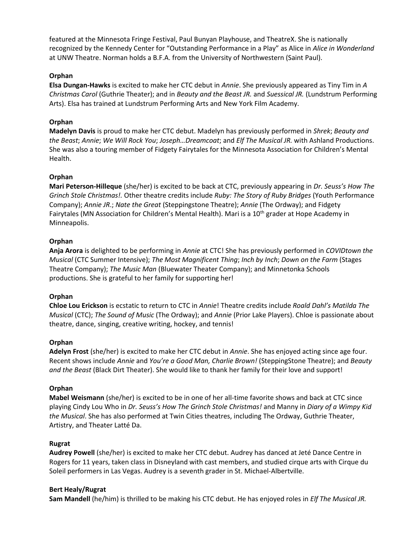**Media Contact:**  featured at the Minnesota Fringe Festival, Paul Bunyan Playhouse, and TheatreX. She is nationally recognized by the Kennedy Center for "Outstanding Performance in a Play" as Alice in *Alice in Wonderland* at UNW Theatre. Norman holds a B.F.A. from the University of Northwestern (Saint Paul).

## **Orphan**

**Elsa Dungan-Hawks** is excited to make her CTC debut in *Annie*. She previously appeared as Tiny Tim in *A Christmas Carol* (Guthrie Theater); and in *Beauty and the Beast JR.* and *Suessical JR.* (Lundstrum Performing Arts). Elsa has trained at Lundstrum Performing Arts and New York Film Academy.

## **Orphan**

**Madelyn Davis** is proud to make her CTC debut. Madelyn has previously performed in *Shrek*; *Beauty and the Beast*; *Annie*; *We Will Rock You*; *Joseph…Dreamcoat*; and *Elf The Musical JR.* with Ashland Productions. She was also a touring member of Fidgety Fairytales for the Minnesota Association for Children's Mental Health.

## **Orphan**

**Mari Peterson-Hilleque** (she/her) is excited to be back at CTC, previously appearing in *Dr. Seuss's How The Grinch Stole Christmas!.* Other theatre credits include *Ruby: The Story of Ruby Bridges* (Youth Performance Company); *Annie JR*.; *Nate the Great* (Steppingstone Theatre); *Annie* (The Ordway); and Fidgety Fairytales (MN Association for Children's Mental Health). Mari is a 10<sup>th</sup> grader at Hope Academy in Minneapolis.

## **Orphan**

**Anja Arora** is delighted to be performing in *Annie* at CTC! She has previously performed in *COVIDtown the Musical* (CTC Summer Intensive); *The Most Magnificent Thing*; *Inch by Inch*; *Down on the Farm* (Stages Theatre Company); *The Music Man* (Bluewater Theater Company); and Minnetonka Schools productions. She is grateful to her family for supporting her!

## **Orphan**

**Chloe Lou Erickson** is ecstatic to return to CTC in *Annie*! Theatre credits include *Roald Dahl's Matilda The Musical* (CTC); *The Sound of Music* (The Ordway); and *Annie* (Prior Lake Players). Chloe is passionate about theatre, dance, singing, creative writing, hockey, and tennis!

## **Orphan**

**Adelyn Frost** (she/her) is excited to make her CTC debut in *Annie*. She has enjoyed acting since age four. Recent shows include *Annie* and *You're a Good Man, Charlie Brown!* (SteppingStone Theatre); and *Beauty and the Beast* (Black Dirt Theater). She would like to thank her family for their love and support!

## **Orphan**

**Mabel Weismann** (she/her) is excited to be in one of her all-time favorite shows and back at CTC since playing Cindy Lou Who in *Dr. Seuss's How The Grinch Stole Christmas!* and Manny in *Diary of a Wimpy Kid the Musical*. She has also performed at Twin Cities theatres, including The Ordway, Guthrie Theater, Artistry, and Theater Latté Da.

## **Rugrat**

**Audrey Powell** (she/her) is excited to make her CTC debut. Audrey has danced at Jeté Dance Centre in Rogers for 11 years, taken class in Disneyland with cast members, and studied cirque arts with Cirque du Soleil performers in Las Vegas. Audrey is a seventh grader in St. Michael-Albertville.

## **Bert Healy/Rugrat**

**Sam Mandell** (he/him) is thrilled to be making his CTC debut. He has enjoyed roles in *Elf The Musical JR.*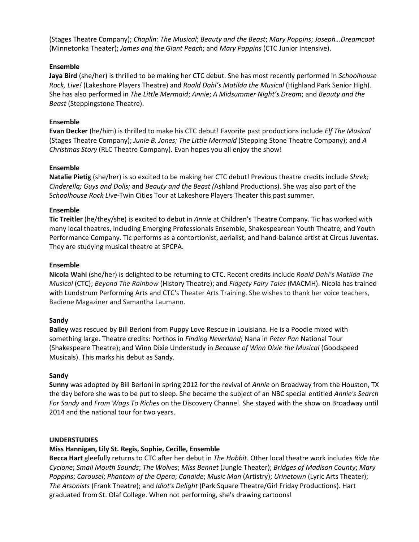**Media Contact:**  (Stages Theatre Company); *Chaplin: The Musical*; *Beauty and the Beast*; *Mary Poppins*; *Joseph…Dreamcoat* (Minnetonka Theater); *James and the Giant Peach*; and *Mary Poppins* (CTC Junior Intensive).

## **Ensemble**

Jaya Bird (she/her) is thrilled to be making her CTC debut. She has most recently performed in *Schoolhouse Rock, Live!* (Lakeshore Players Theatre) and *Roald Dahl's Matilda the Musical* (Highland Park Senior High). She has also performed in *The Little Mermaid*; *Annie*; *A Midsummer Night's Dream*; and *Beauty and the Beast* (Steppingstone Theatre).

## **Ensemble**

**Evan Decker** (he/him) is thrilled to make his CTC debut! Favorite past productions include *Elf The Musical*  (Stages Theatre Company); *Junie B. Jones; The Little Mermaid* (Stepping Stone Theatre Company); and *A Christmas Story* (RLC Theatre Company). Evan hopes you all enjoy the show!

## **Ensemble**

**Natalie Pietig** (she/her) is so excited to be making her CTC debut! Previous theatre credits include *Shrek; Cinderella; Guys and Dolls;* and *Beauty and the Beast (*Ashland Productions). She was also part of the S*choolhouse Rock Live-*Twin Cities Tour at Lakeshore Players Theater this past summer.

## **Ensemble**

**Tic Treitler** (he/they/she) is excited to debut in *Annie* at Children's Theatre Company. Tic has worked with many local theatres, including Emerging Professionals Ensemble, Shakespearean Youth Theatre, and Youth Performance Company. Tic performs as a contortionist, aerialist, and hand-balance artist at Circus Juventas. They are studying musical theatre at SPCPA.

## **Ensemble**

**Nicola Wahl** (she/her) is delighted to be returning to CTC. Recent credits include *Roald Dahl's Matilda The Musical* (CTC); *Beyond The Rainbow* (History Theatre); and *Fidgety Fairy Tales* (MACMH). Nicola has trained with Lundstrum Performing Arts and CTC's Theater Arts Training. She wishes to thank her voice teachers, Badiene Magaziner and Samantha Laumann.

## **Sandy**

**Bailey** was rescued by Bill Berloni from Puppy Love Rescue in Louisiana. He is a Poodle mixed with something large. Theatre credits: Porthos in *Finding Neverland*; Nana in *Peter Pan* National Tour (Shakespeare Theatre); and Winn Dixie Understudy in *Because of Winn Dixie the Musical* (Goodspeed Musicals). This marks his debut as Sandy.

#### **Sandy**

**Sunny** was adopted by Bill Berloni in spring 2012 for the revival of *Annie* on Broadway from the Houston, TX the day before she was to be put to sleep. She became the subject of an NBC special entitled *Annie's Search For Sandy* and *From Wags To Riches* on the Discovery Channel. She stayed with the show on Broadway until 2014 and the national tour for two years.

## **UNDERSTUDIES**

## **Miss Hannigan, Lily St. Regis, Sophie, Cecille, Ensemble**

**Becca Hart** gleefully returns to CTC after her debut in *The Hobbit.* Other local theatre work includes *Ride the Cyclone*; *Small Mouth Sounds*; *The Wolves*; *Miss Bennet* (Jungle Theater); *Bridges of Madison County*; *Mary Poppins*; *Carousel*; *Phantom of the Opera*; *Candide*; *Music Man* (Artistry); *Urinetown* (Lyric Arts Theater); *The Arsonists* (Frank Theatre); and *Idiot's Delight* (Park Square Theatre/Girl Friday Productions). Hart graduated from St. Olaf College. When not performing, she's drawing cartoons!